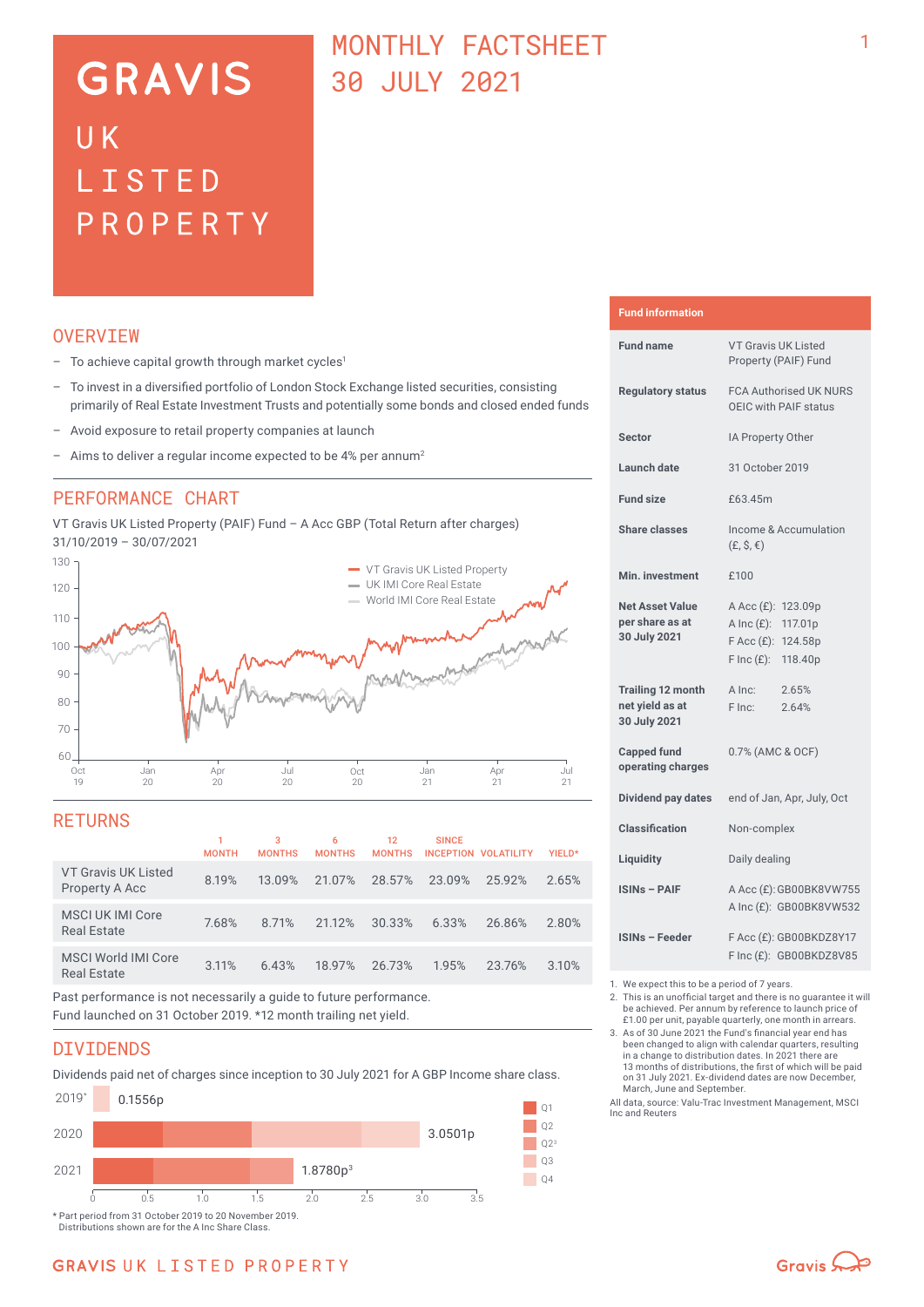# **GRAVIS** UK LISTED PROPERTY

## MONTHLY FACTSHEET 30 JULY 2021

## **OVERVTEW**

- $-$  To achieve capital growth through market cycles<sup>1</sup>
- To invest in a diversified portfolio of London Stock Exchange listed securities, consisting primarily of Real Estate Investment Trusts and potentially some bonds and closed ended funds
- Avoid exposure to retail property companies at launch
- Aims to deliver a regular income expected to be 4% per annum<sup>2</sup>

### PERFORMANCE CHART

VT Gravis UK Listed Property (PAIF) Fund – A Acc GBP (Total Return after charges) 31/10/2019 – 30/07/2021



### **RETURNS**

|                                                                                                                                                                                                                                            | <b>MONTH</b> | 3<br><b>MONTHS</b> | 6<br><b>MONTHS</b> | 12<br><b>MONTHS</b> | <b>SINCE</b> | INCEPTION VOLATILITY | YIELD* |
|--------------------------------------------------------------------------------------------------------------------------------------------------------------------------------------------------------------------------------------------|--------------|--------------------|--------------------|---------------------|--------------|----------------------|--------|
| <b>VT Gravis UK Listed</b><br>Property A Acc                                                                                                                                                                                               | 8.19%        | 13.09%             |                    | 21.07% 28.57%       | 23.09%       | 25.92%               | 2.65%  |
| MSCI UK IMI Core<br><b>Real Estate</b>                                                                                                                                                                                                     | 7.68%        | 8.71%              | 21.12%             | 30.33%              | 6.33%        | 26.86%               | 2.80%  |
| <b>MSCI World IMI Core</b><br><b>Real Estate</b>                                                                                                                                                                                           | 3.11%        | 6.43%              | 18.97%             | 26.73%              | 1.95%        | 23.76%               | 3.10%  |
| $\bullet$ . The contract of the contract of the contract of the contract of the contract of the contract of the contract of the contract of the contract of the contract of the contract of the contract of the contract of the co<br>____ |              |                    |                    |                     |              |                      |        |

Past performance is not necessarily a guide to future performance. Fund launched on 31 October 2019. \*12 month trailing net yield.

### DIVIDENDS

Dividends paid net of charges since inception to 30 July 2021 for A GBP Income share class.



Distributions shown are for the A Inc Share Class.

#### **Fund information**

| <b>Fund name</b>                                            | <b>VT Gravis UK Listed</b><br>Property (PAIF) Fund                                                             |  |  |  |
|-------------------------------------------------------------|----------------------------------------------------------------------------------------------------------------|--|--|--|
| <b>Requlatory status</b>                                    | <b>FCA Authorised UK NURS</b><br>OEIC with PAIF status                                                         |  |  |  |
| <b>Sector</b>                                               | IA Property Other                                                                                              |  |  |  |
| Launch date                                                 | 31 October 2019                                                                                                |  |  |  |
| <b>Fund size</b>                                            | £63.45m                                                                                                        |  |  |  |
| <b>Share classes</b>                                        | Income & Accumulation<br>$(E, \hat{S}, \epsilon)$                                                              |  |  |  |
| Min. investment                                             | £100                                                                                                           |  |  |  |
| <b>Net Asset Value</b><br>per share as at<br>30 July 2021   | A Acc (£): 123.09p<br>A Inc $(E)$ :<br>117.01p<br>$F$ Acc $(E)$ :<br>124.58p<br>$F \text{Inc}(f)$ :<br>118.40p |  |  |  |
| <b>Trailing 12 month</b><br>net yield as at<br>30 July 2021 | A Inc:<br>2.65%<br>2.64%<br>F Inc:                                                                             |  |  |  |
| <b>Capped fund</b><br>operating charges                     | 0.7% (AMC & OCF)                                                                                               |  |  |  |
| Dividend pay dates                                          | end of Jan, Apr, July, Oct                                                                                     |  |  |  |
| <b>Classification</b>                                       | Non-complex                                                                                                    |  |  |  |
| Liquidity                                                   | Daily dealing                                                                                                  |  |  |  |
| <b>ISINs - PAIF</b>                                         | A Acc (£): GB00BK8VW755<br>A Inc (£): GB00BK8VW532                                                             |  |  |  |
| <b>ISINs - Feeder</b>                                       | F Acc (£): GB00BKDZ8Y17<br>F Inc (£): GB00BKDZ8V85                                                             |  |  |  |

1. We expect this to be a period of 7 years.

- 2. This is an unofficial target and there is no guarantee it will be achieved. Per annum by reference to launch price of £1.00 per unit, payable quarterly, one month in arrears.
- 3. As of 30 June 2021 the Fund's financial year end has been changed to align with calendar quarters, resulting in a change to distribution dates. In 2021 there are 13 months of distributions, the first of which will be paid on 31 July 2021. Ex-dividend dates are now December, March, June and September.
- All data, source: Valu-Trac Investment Management, MSCI Inc and Reuters

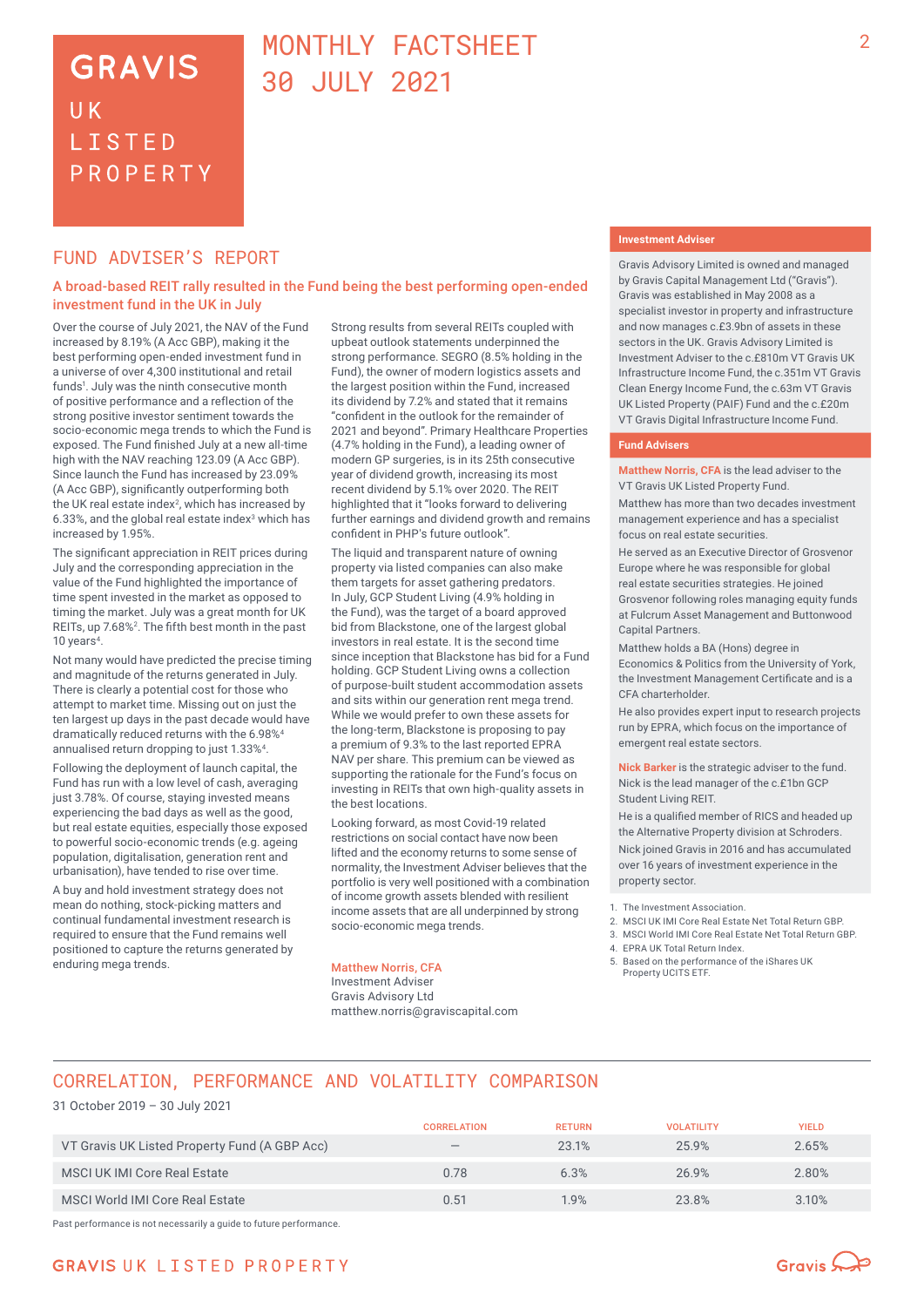## **GRAVIS** UK **LISTED** PROPERTY

## MONTHLY FACTSHEET 30 JULY 2021

### FUND ADVISER'S REPORT

#### A broad-based REIT rally resulted in the Fund being the best performing open-ended investment fund in the UK in July

Over the course of July 2021, the NAV of the Fund increased by 8.19% (A Acc GBP), making it the best performing open-ended investment fund in a universe of over 4,300 institutional and retail funds<sup>1</sup>. July was the ninth consecutive month of positive performance and a reflection of the strong positive investor sentiment towards the socio-economic mega trends to which the Fund is exposed. The Fund finished July at a new all-time high with the NAV reaching 123.09 (A Acc GBP). Since launch the Fund has increased by 23.09% (A Acc GBP), significantly outperforming both the UK real estate index<sup>2</sup>, which has increased by 6.33%, and the global real estate index $3$  which has increased by 1.95%.

The significant appreciation in REIT prices during July and the corresponding appreciation in the value of the Fund highlighted the importance of time spent invested in the market as opposed to timing the market. July was a great month for UK REITs, up 7.68%<sup>2</sup>. The fifth best month in the past 10 years<sup>4</sup>.

Not many would have predicted the precise timing and magnitude of the returns generated in July. There is clearly a potential cost for those who attempt to market time. Missing out on just the ten largest up days in the past decade would have dramatically reduced returns with the 6.98%4 annualised return dropping to just 1.33%4.

Following the deployment of launch capital, the Fund has run with a low level of cash, averaging just 3.78%. Of course, staying invested means experiencing the bad days as well as the good, but real estate equities, especially those exposed to powerful socio-economic trends (e.g. ageing population, digitalisation, generation rent and urbanisation), have tended to rise over time.

A buy and hold investment strategy does not mean do nothing, stock-picking matters and continual fundamental investment research is required to ensure that the Fund remains well positioned to capture the returns generated by enduring mega trends.

Strong results from several REITs coupled with upbeat outlook statements underpinned the strong performance. SEGRO (8.5% holding in the Fund), the owner of modern logistics assets and the largest position within the Fund, increased its dividend by 7.2% and stated that it remains "confident in the outlook for the remainder of 2021 and beyond". Primary Healthcare Properties (4.7% holding in the Fund), a leading owner of modern GP surgeries, is in its 25th consecutive year of dividend growth, increasing its most recent dividend by 5.1% over 2020. The REIT highlighted that it "looks forward to delivering further earnings and dividend growth and remains confident in PHP's future outlook".

The liquid and transparent nature of owning property via listed companies can also make them targets for asset gathering predators. In July, GCP Student Living (4.9% holding in the Fund), was the target of a board approved bid from Blackstone, one of the largest global investors in real estate. It is the second time since inception that Blackstone has bid for a Fund holding. GCP Student Living owns a collection of purpose-built student accommodation assets and sits within our generation rent mega trend. While we would prefer to own these assets for the long-term, Blackstone is proposing to pay a premium of 9.3% to the last reported EPRA NAV per share. This premium can be viewed as supporting the rationale for the Fund's focus on investing in REITs that own high-quality assets in the best locations.

Looking forward, as most Covid-19 related restrictions on social contact have now been lifted and the economy returns to some sense of normality, the Investment Adviser believes that the portfolio is very well positioned with a combination of income growth assets blended with resilient income assets that are all underpinned by strong socio-economic mega trends.

#### Matthew Norris, CFA

Investment Adviser Gravis Advisory Ltd matthew.norris@graviscapital.com

#### **Investment Adviser**

Gravis Advisory Limited is owned and managed by Gravis Capital Management Ltd ("Gravis"). Gravis was established in May 2008 as a specialist investor in property and infrastructure and now manages c.£3.9bn of assets in these sectors in the UK. Gravis Advisory Limited is Investment Adviser to the c.£810m VT Gravis UK Infrastructure Income Fund, the c.351m VT Gravis Clean Energy Income Fund, the c.63m VT Gravis UK Listed Property (PAIF) Fund and the c.£20m VT Gravis Digital Infrastructure Income Fund.

#### **Fund Advisers**

**Matthew Norris, CFA** is the lead adviser to the VT Gravis UK Listed Property Fund.

Matthew has more than two decades investment management experience and has a specialist focus on real estate securities.

He served as an Executive Director of Grosvenor Europe where he was responsible for global real estate securities strategies. He joined Grosvenor following roles managing equity funds at Fulcrum Asset Management and Buttonwood Capital Partners.

Matthew holds a BA (Hons) degree in Economics & Politics from the University of York, the Investment Management Certificate and is a CFA charterholder.

He also provides expert input to research projects run by EPRA, which focus on the importance of emergent real estate sectors.

**Nick Barker** is the strategic adviser to the fund. Nick is the lead manager of the c.£1bn GCP Student Living REIT.

He is a qualified member of RICS and headed up the Alternative Property division at Schroders. Nick joined Gravis in 2016 and has accumulated over 16 years of investment experience in the property sector.

- 2. MSCI UK IMI Core Real Estate Net Total Return GBP.
- 3. MSCI World IMI Core Real Estate Net Total Return GBP.
- 4. EPRA UK Total Return Index.
- 5. Based on the performance of the iShares UK Property UCITS ETF.

## CORRELATION, PERFORMANCE AND VOLATILITY COMPARISON

#### 31 October 2019 – 30 July 2021

|                                               | <b>CORRELATION</b>              | <b>RETURN</b> | <b>VOLATILITY</b> | YIELD |
|-----------------------------------------------|---------------------------------|---------------|-------------------|-------|
| VT Gravis UK Listed Property Fund (A GBP Acc) | $\hspace{0.1mm}-\hspace{0.1mm}$ | 23.1%         | 25.9%             | 2.65% |
| <b>MSCI UK IMI Core Real Estate</b>           | 0.78                            | 6.3%          | 26.9%             | 2.80% |
| MSCI World IMI Core Real Estate               | 0.51                            | 1.9%          | 23.8%             | 3.10% |

Past performance is not necessarily a guide to future performance.



<sup>1.</sup> The Investment Association.